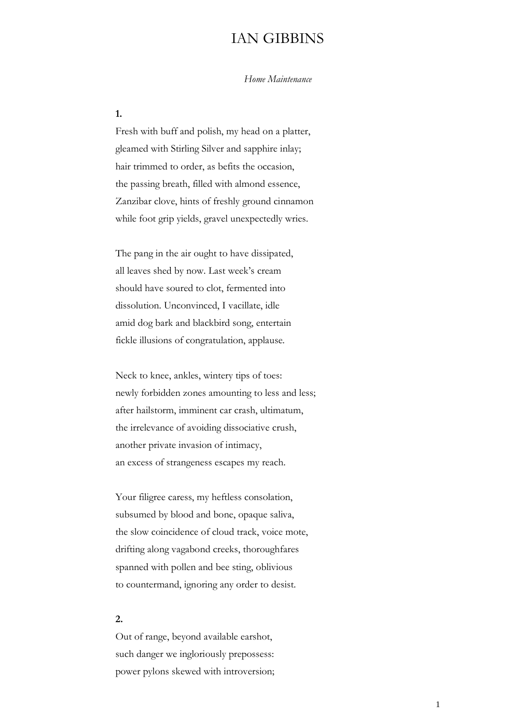## IAN GIBBINS

*Home Maintenance*

**1.**

Fresh with buff and polish, my head on a platter, gleamed with Stirling Silver and sapphire inlay; hair trimmed to order, as befits the occasion, the passing breath, filled with almond essence, Zanzibar clove, hints of freshly ground cinnamon while foot grip yields, gravel unexpectedly wries.

The pang in the air ought to have dissipated, all leaves shed by now. Last week's cream should have soured to clot, fermented into dissolution. Unconvinced, I vacillate, idle amid dog bark and blackbird song, entertain fickle illusions of congratulation, applause.

Neck to knee, ankles, wintery tips of toes: newly forbidden zones amounting to less and less; after hailstorm, imminent car crash, ultimatum, the irrelevance of avoiding dissociative crush, another private invasion of intimacy, an excess of strangeness escapes my reach.

Your filigree caress, my heftless consolation, subsumed by blood and bone, opaque saliva, the slow coincidence of cloud track, voice mote, drifting along vagabond creeks, thoroughfares spanned with pollen and bee sting, oblivious to countermand, ignoring any order to desist.

## **2.**

Out of range, beyond available earshot, such danger we ingloriously prepossess: power pylons skewed with introversion;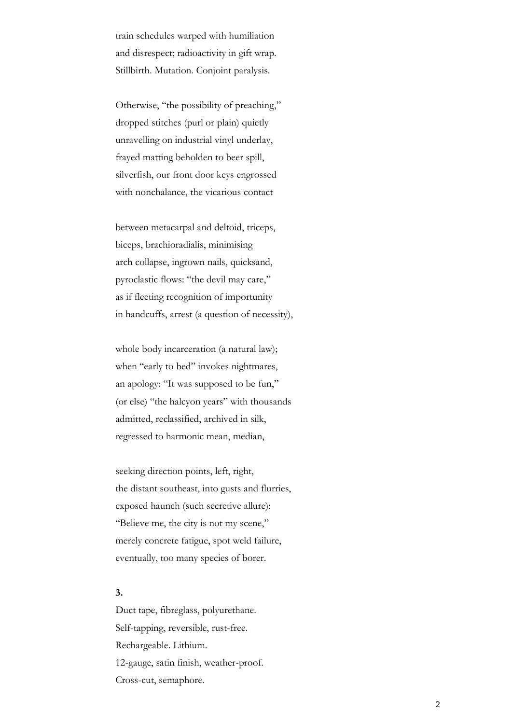train schedules warped with humiliation and disrespect; radioactivity in gift wrap. Stillbirth. Mutation. Conjoint paralysis.

Otherwise, "the possibility of preaching," dropped stitches (purl or plain) quietly unravelling on industrial vinyl underlay, frayed matting beholden to beer spill, silverfish, our front door keys engrossed with nonchalance, the vicarious contact

between metacarpal and deltoid, triceps, biceps, brachioradialis, minimising arch collapse, ingrown nails, quicksand, pyroclastic flows: "the devil may care," as if fleeting recognition of importunity in handcuffs, arrest (a question of necessity),

whole body incarceration (a natural law); when "early to bed" invokes nightmares, an apology: "It was supposed to be fun," (or else) "the halcyon years" with thousands admitted, reclassified, archived in silk, regressed to harmonic mean, median,

seeking direction points, left, right, the distant southeast, into gusts and flurries, exposed haunch (such secretive allure): "Believe me, the city is not my scene," merely concrete fatigue, spot weld failure, eventually, too many species of borer.

## **3.**

Duct tape, fibreglass, polyurethane. Self-tapping, reversible, rust-free. Rechargeable. Lithium. 12-gauge, satin finish, weather-proof. Cross-cut, semaphore.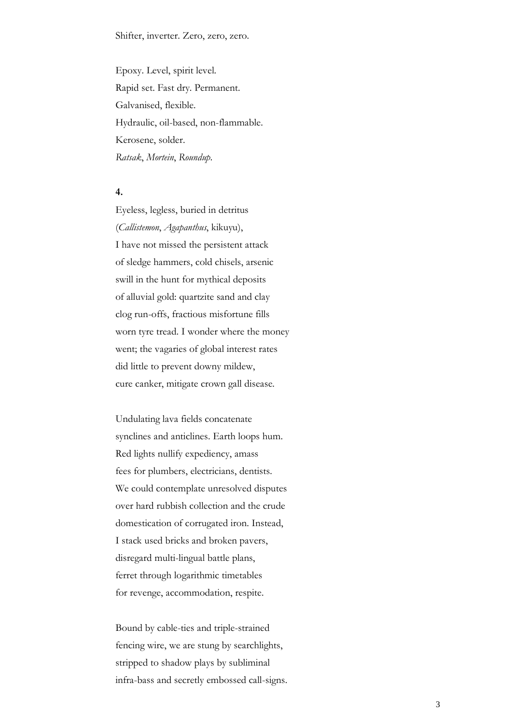Epoxy. Level, spirit level. Rapid set. Fast dry. Permanent. Galvanised, flexible. Hydraulic, oil-based, non-flammable. Kerosene, solder. *Ratsak*, *Mortein*, *Roundup.*

**4.**

Eyeless, legless, buried in detritus (*Callistemon*, *Agapanthus*, kikuyu), I have not missed the persistent attack of sledge hammers, cold chisels, arsenic swill in the hunt for mythical deposits of alluvial gold: quartzite sand and clay clog run-offs, fractious misfortune fills worn tyre tread. I wonder where the money went; the vagaries of global interest rates did little to prevent downy mildew, cure canker, mitigate crown gall disease.

Undulating lava fields concatenate synclines and anticlines. Earth loops hum. Red lights nullify expediency, amass fees for plumbers, electricians, dentists. We could contemplate unresolved disputes over hard rubbish collection and the crude domestication of corrugated iron. Instead, I stack used bricks and broken pavers, disregard multi-lingual battle plans, ferret through logarithmic timetables for revenge, accommodation, respite.

Bound by cable-ties and triple-strained fencing wire, we are stung by searchlights, stripped to shadow plays by subliminal infra-bass and secretly embossed call-signs.